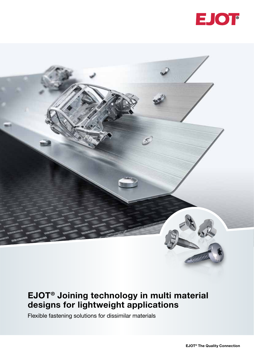

### EJOT® Joining technology in multi material designs for lightweight applications

Flexible fastening solutions for dissimilar materials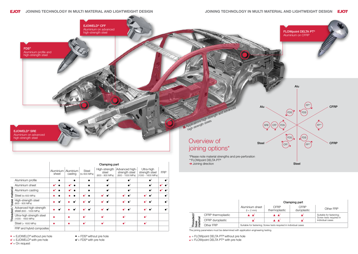|                              |                                                  | <b>Clamping part</b> |                      |                              |                                           |                                                      |                                                   |            |
|------------------------------|--------------------------------------------------|----------------------|----------------------|------------------------------|-------------------------------------------|------------------------------------------------------|---------------------------------------------------|------------|
|                              |                                                  | Aluminium  <br>sheet | Aluminium<br>casting | <b>Steel</b><br>(to 600 MPa) | High-strength<br>steel<br>(600 - 800 MPa) | Advanced high-<br>strength steel<br>(800 - 1000 MPa) | Ultra-high<br>strength steel<br>(1000 - 1600 MPa) | <b>FRP</b> |
| material<br>base<br>Threaded | Aluminium profile                                |                      |                      |                              |                                           |                                                      |                                                   |            |
|                              | Aluminium sheet                                  |                      | $\bullet^\star$      |                              | $\bullet^1$                               | $\bullet$                                            |                                                   |            |
|                              | Aluminium casting                                |                      |                      |                              |                                           |                                                      |                                                   |            |
|                              | Steel (to 600 MPa)                               |                      |                      |                              |                                           |                                                      |                                                   |            |
|                              | High-strength steel<br>(600 - 800 MPa)           |                      |                      |                              |                                           |                                                      |                                                   |            |
|                              | Advanced high-strength<br>steel (800 - 1000 MPa) |                      |                      |                              |                                           |                                                      |                                                   |            |
|                              | Ultra-high strength steel<br>(1000 - 1600 MPa)   |                      |                      | 61                           |                                           |                                                      |                                                   |            |
|                              | Steel (> 1600 MPa)                               |                      |                      | 1ء                           | ā                                         |                                                      |                                                   |            |
|                              | FRP and hybrid composites                        |                      |                      |                              |                                           |                                                      |                                                   |            |

#### **EJOT** JOINING TECHNOLOGY IN MULTI MATERIAL AND LIGHTWEIGHT DESIGN

 $\triangle$  = FLOWpoint DELTA PT<sup>®</sup> without pre hole  $\triangle$ <sup>1</sup> = FLOWpoint DELTA PT<sup>®</sup> with pre hole

• = EJOWELD® without pre hole • = FDS® without pre hole

 $\bullet$ <sup>1</sup> = EJOWELD<sup>®</sup> with pre hole

 $\bullet^*$  = On request

- 
- 





|                    | Clamping part                                                    |                       |                            |                                                    |  |  |  |
|--------------------|------------------------------------------------------------------|-----------------------|----------------------------|----------------------------------------------------|--|--|--|
|                    | Aluminium sheet<br>$(t < 2$ mm)                                  | CFRP<br>thermoplastic | <b>CFRP</b><br>duroplastic | Other FRP                                          |  |  |  |
| CFRP thermoplastic |                                                                  | A A'                  |                            | Suitable for fastening;<br>Screw tests required in |  |  |  |
| CFRP duroplastic   |                                                                  | A A'                  |                            | individual cases                                   |  |  |  |
| Other FRP          | Suitable for fastening; Screw tests required in individual cases |                       |                            |                                                    |  |  |  |

Threaded/ base material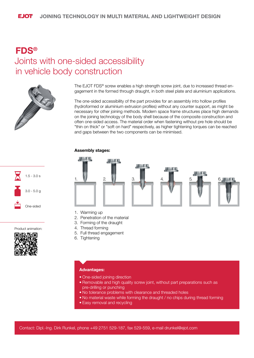### FDS® Joints with one-sided accessibility in vehicle body construction



1.5 - 3.0 s

3.0 - 5.0 g

One-sided

The EJOT FDS® screw enables a high strength screw joint, due to increased thread engagement in the formed through draught, in both steel plate and aluminium applications.

The one-sided accessibility of the part provides for an assembly into hollow profiles (hydroformed or aluminium extrusion profiles) without any counter support, as might be necessary for other joining methods. Modern space frame structures place high demands on the joining technology of the body shell because of the composite construction and often one-sided access. The material order when fastening without pre hole should be "thin on thick" or "soft on hard" respectively, as higher tightening torques can be reached and gaps between the two components can be minimised.

### Assembly stages:



- 1. Warming up
- 2. Penetration of the material
- 3. Forming of the draught
- 4. Thread forming
- 5. Full thread engagement
- 6. Tightening



Product animation:

### Advantages:

- One-sided joining direction
- Removable and high quality screw joint, without part preparations such as pre-drilling or punching
- No tolerance problems with clearance and threaded holes
- No material waste while forming the draught / no chips during thread forming
- Easy removal and recycling

Contact: Dipl.-Ing. Dirk Runkel, phone +49 2751 529-187, fax 529-559, e-mail drunkel@ejot.com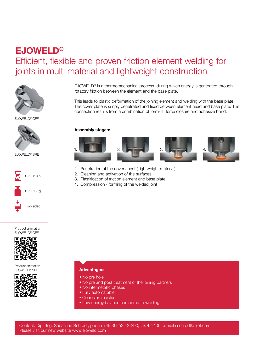## EJOWELD® Efficient, flexible and proven friction element welding for joints in multi material and lightweight construction



EJOWELD® CFF



EJOWELD® SRE



Product animation EJOWELD® CFF:



Product animation EJOWELD® SRE:



EJOWELD® is a thermomechanical process, during which energy is generated through rotatory friction between the element and the base plate.

This leads to plastic deformation of the joining element and welding with the base plate. The cover plate is simply penetrated and fixed between element head and base plate. The connection results from a combination of form-fit, force closure and adhesive bond.

#### Assembly stages:









- 1. Penetration of the cover sheet (Lightweight material)
- 2. Cleaning and activation of the surfaces
- 3. Plastification of friction element and base plate
- 4. Compression / forming of the welded joint

### Advantages:

- No pre hole
- No pre and post treatment of the joining partners
- No intermetallic phases
- Fully automatable
- Corrosion resistant
- Low energy balance compared to welding

Contact: Dipl.-Ing. Sebastian Schrodt, phone +49 36252 42-290, fax 42-405, e-mail sschrodt@ejot.com Please visit our new website www.ejoweld.com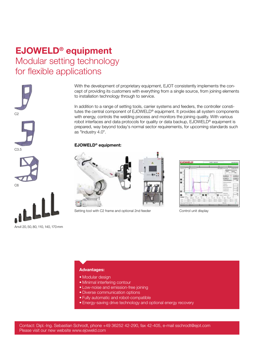# EJOWELD® equipment Modular setting technology for flexible applications







Anvil 20, 50, 80, 110, 140, 170 mm

With the development of proprietary equipment, EJOT consistently implements the concept of providing its customers with everything from a single source, from joining elements to installation technology through to service.

In addition to a range of setting tools, carrier systems and feeders, the controller constitutes the central component of EJOWELD® equipment. It provides all system components with energy, controls the welding process and monitors the joining quality. With various robot interfaces and data protocols for quality or data backup, EJOWELD® equipment is prepared, way beyond today's normal sector requirements, for upcoming standards such as "Industry 4.0".

### EJOWELD® equipment:



Setting tool with C2 frame and optional 2nd feeder Control unit display



### Advantages:

- Modular design
- Minimal interfering contour
- Low-noise and emission-free joining
- Diverse communication options
- Fully automatic and robot-compatible
- Energy-saving drive technology and optional energy recovery

Contact: Dipl.-Ing. Sebastian Schrodt, phone +49 36252 42-290, fax 42-405, e-mail sschrodt@ejot.com Please visit our new website www.ejoweld.com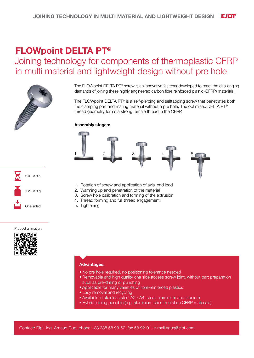## FLOWpoint DELTA PT®

### Joining technology for components of thermoplastic CFRP in multi material and lightweight design without pre hole



The FLOWpoint DELTA PT<sup>®</sup> screw is an innovative fastener developed to meet the challenging demands of joining these highly engineered carbon fibre reinforced plastic (CFRP) materials.

The FLOWpoint DELTA PT® is a self-piercing and selftapping screw that penetrates both the clamping part and mating material without a pre hole. The optimised DELTA PT® thread geometry forms a strong female thread in the CFRP.

### Assembly stages:





1. Rotation of screw and application of axial end load

- 2. Warming up and penetration of the material
- 3. Screw hole calibration and forming of the extrusion
- 4. Thread forming and full thread engagement
- 5. Tightening

#### Product animation:



### Advantages:

- No pre hole required, no positioning tolerance needed
- Removable and high quality one side access screw joint, without part preparation such as pre-drilling or punching
- Applicable for many varieties of fibre-reinforced plastics
- Easy removal and recycling
- Available in stainless steel A2 / A4, steel, aluminium and titanium
- Hybrid joining possible (e.g. aluminium sheet metal on CFRP materials)

Contact: Dipl.-Ing. Arnaud Gug, phone +33 388 58 93-62, fax 58 92-01, e-mail agug@ejot.com